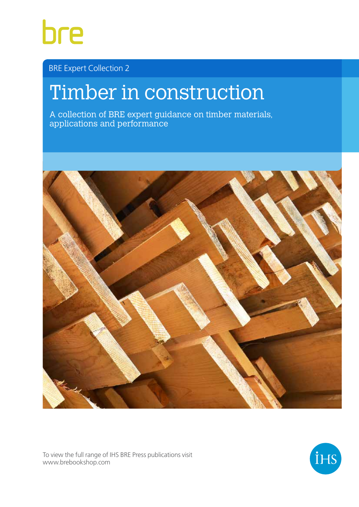

BRE Expert Collection 2

# Timber in construction

A collection of BRE expert guidance on timber materials, applications and performance



To view the full range of IHS BRE Press publications visit www.brebookshop.com

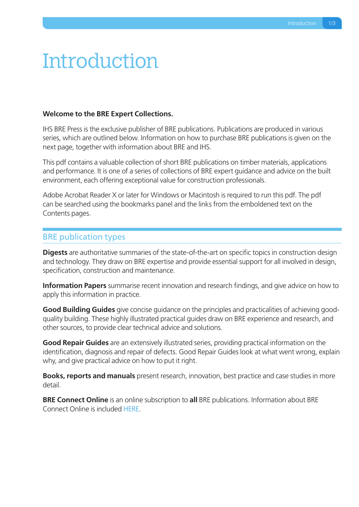# **Introduction**

#### **Welcome to the BRE Expert Collections.**

IHS BRE Press is the exclusive publisher of BRE publications. Publications are produced in various series, which are outlined below. Information on how to purchase BRE publications is given on the next page, together with information about BRE and IHS.

This pdf contains a valuable collection of short BRE publications on timber materials, applications and performance. It is one of a series of collections of BRE expert guidance and advice on the built environment, each offering exceptional value for construction professionals.

Adobe Acrobat Reader X or later for Windows or Macintosh is required to run this pdf. The pdf can be searched using the bookmarks panel and the links from the emboldened text on the Contents pages.

#### BRE publication types

**Digests** are authoritative summaries of the state-of-the-art on specific topics in construction design and technology. They draw on BRE expertise and provide essential support for all involved in design, specification, construction and maintenance.

**Information Papers** summarise recent innovation and research findings, and give advice on how to apply this information in practice.

**Good Building Guides** give concise guidance on the principles and practicalities of achieving goodquality building. These highly illustrated practical guides draw on BRE experience and research, and other sources, to provide clear technical advice and solutions.

**Good Repair Guides** are an extensively illustrated series, providing practical information on the identification, diagnosis and repair of defects. Good Repair Guides look at what went wrong, explain why, and give practical advice on how to put it right.

**Books, reports and manuals** present research, innovation, best practice and case studies in more detail.

**BRE Connect Online** is an online subscription to **all** BRE publications. Information about BRE Connect Online is include[d HERE.](#page--1-0)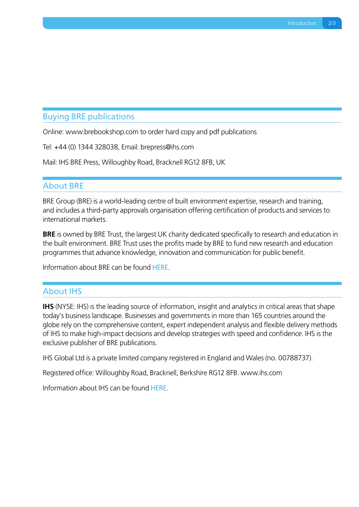### Buying BRE publications

Online: www.brebookshop.com to order hard copy and pdf publications

Tel: +44 (0) 1344 328038, Email: brepress@ihs.com

Mail: IHS BRE Press, Willoughby Road, Bracknell RG12 8FB, UK

#### About BRE

BRE Group (BRE) is a world-leading centre of built environment expertise, research and training, and includes a third-party approvals organisation offering certification of products and services to international markets.

**BRE** is owned by BRE Trust, the largest UK charity dedicated specifically to research and education in the built environment. BRE Trust uses the profits made by BRE to fund new research and education programmes that advance knowledge, innovation and communication for public benefit.

Information about BRE can be foun[d HERE.](http://www.bre.co.uk/)

#### About IHS

**IHS** (NYSE: IHS) is the leading source of information, insight and analytics in critical areas that shape today's business landscape. Businesses and governments in more than 165 countries around the globe rely on the comprehensive content, expert independent analysis and flexible delivery methods of IHS to make high-impact decisions and develop strategies with speed and confidence. IHS is the exclusive publisher of BRE publications.

IHS Global Ltd is a private limited company registered in England and Wales (no. 00788737).

Registered office: Willoughby Road, Bracknell, Berkshire RG12 8FB. www.ihs.com

Information about IHS can be foun[d HERE.](http://www.ihs.com/index.aspx)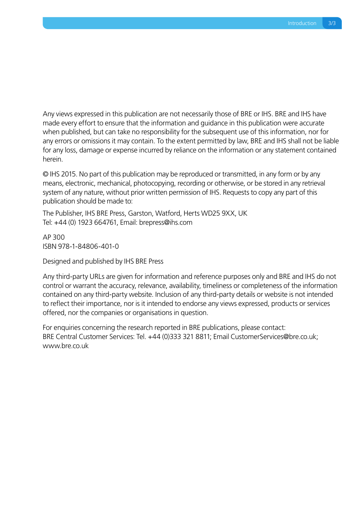Any views expressed in this publication are not necessarily those of BRE or IHS. BRE and IHS have made every effort to ensure that the information and guidance in this publication were accurate when published, but can take no responsibility for the subsequent use of this information, nor for any errors or omissions it may contain. To the extent permitted by law, BRE and IHS shall not be liable for any loss, damage or expense incurred by reliance on the information or any statement contained herein.

© IHS 2015. No part of this publication may be reproduced or transmitted, in any form or by any means, electronic, mechanical, photocopying, recording or otherwise, or be stored in any retrieval system of any nature, without prior written permission of IHS. Requests to copy any part of this publication should be made to:

The Publisher, IHS BRE Press, Garston, Watford, Herts WD25 9XX, UK Tel: +44 (0) 1923 664761, Email: brepress@ihs.com

AP 300 ISBN 978-1-84806-401-0

Designed and published by IHS BRE Press

Any third-party URLs are given for information and reference purposes only and BRE and IHS do not control or warrant the accuracy, relevance, availability, timeliness or completeness of the information contained on any third-party website. Inclusion of any third-party details or website is not intended to reflect their importance, nor is it intended to endorse any views expressed, products or services offered, nor the companies or organisations in question.

For enquiries concerning the research reported in BRE publications, please contact: BRE Central Customer Services: Tel. +44 (0)333 321 8811; Email CustomerServices@bre.co.uk; www.bre.co.uk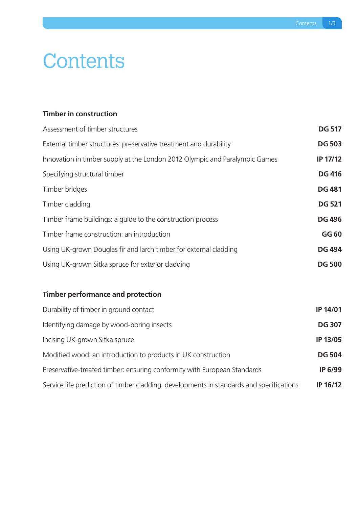# **Contents**

### **[Timber in construction](#page--1-0)**

| Assessment of timber structures                                             | <b>DG 517</b> |
|-----------------------------------------------------------------------------|---------------|
| External timber structures: preservative treatment and durability           | <b>DG 503</b> |
| Innovation in timber supply at the London 2012 Olympic and Paralympic Games | IP 17/12      |
| Specifying structural timber                                                | <b>DG 416</b> |
| Timber bridges                                                              | <b>DG 481</b> |
| Timber cladding                                                             | <b>DG 521</b> |
| Timber frame buildings: a guide to the construction process                 | <b>DG 496</b> |
| Timber frame construction: an introduction                                  | GG 60         |
| Using UK-grown Douglas fir and larch timber for external cladding           | <b>DG 494</b> |
| Using UK-grown Sitka spruce for exterior cladding                           | <b>DG 500</b> |

## **[Timber performance and protection](#page--1-0)**

| Durability of timber in ground contact                                                   | IP 14/01        |
|------------------------------------------------------------------------------------------|-----------------|
| Identifying damage by wood-boring insects                                                | <b>DG 307</b>   |
| Incising UK-grown Sitka spruce                                                           | <b>IP 13/05</b> |
| Modified wood: an introduction to products in UK construction                            | <b>DG 504</b>   |
| Preservative-treated timber: ensuring conformity with European Standards                 | IP 6/99         |
| Service life prediction of timber cladding: developments in standards and specifications | IP 16/12        |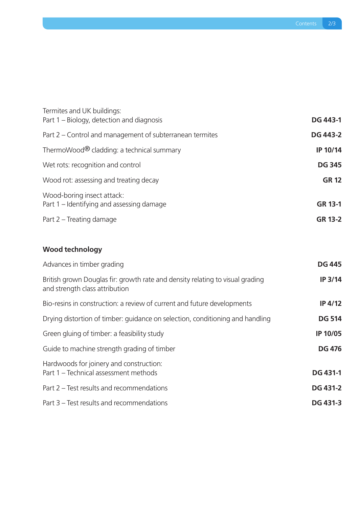| Termites and UK buildings:<br>Part 1 – Biology, detection and diagnosis | <b>DG 443-1</b> |
|-------------------------------------------------------------------------|-----------------|
| Part 2 – Control and management of subterranean termites                | <b>DG 443-2</b> |
| ThermoWood® cladding: a technical summary                               | IP 10/14        |
| Wet rots: recognition and control                                       | <b>DG 345</b>   |
| Wood rot: assessing and treating decay                                  | <b>GR 12</b>    |
| Wood-boring insect attack:<br>Part 1 – Identifying and assessing damage | <b>GR 13-1</b>  |
| Part 2 – Treating damage                                                | <b>GR 13-2</b>  |

## **[Wood technology](#page--1-0)**

| Advances in timber grading                                                                                      | <b>DG 445</b>   |
|-----------------------------------------------------------------------------------------------------------------|-----------------|
| British grown Douglas fir: growth rate and density relating to visual grading<br>and strength class attribution | IP 3/14         |
| Bio-resins in construction: a review of current and future developments                                         | <b>IP 4/12</b>  |
| Drying distortion of timber: guidance on selection, conditioning and handling                                   | <b>DG 514</b>   |
| Green gluing of timber: a feasibility study                                                                     | <b>IP 10/05</b> |
| Guide to machine strength grading of timber                                                                     | <b>DG 476</b>   |
| Hardwoods for joinery and construction:<br>Part 1 - Technical assessment methods                                | <b>DG 431-1</b> |
| Part 2 – Test results and recommendations                                                                       | <b>DG 431-2</b> |
| Part 3 – Test results and recommendations                                                                       | <b>DG 431-3</b> |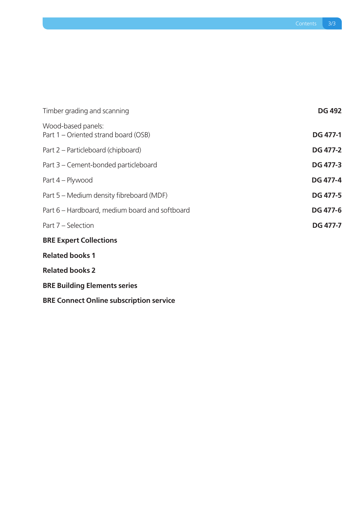| Timber grading and scanning                                | <b>DG 492</b>   |
|------------------------------------------------------------|-----------------|
| Wood-based panels:<br>Part 1 – Oriented strand board (OSB) | <b>DG 477-1</b> |
| Part 2 – Particleboard (chipboard)                         | <b>DG 477-2</b> |
| Part 3 – Cement-bonded particleboard                       | <b>DG 477-3</b> |
| Part 4 – Plywood                                           | <b>DG 477-4</b> |
| Part 5 – Medium density fibreboard (MDF)                   | <b>DG 477-5</b> |
| Part 6 – Hardboard, medium board and softboard             | <b>DG 477-6</b> |
| Part 7 – Selection                                         | <b>DG 477-7</b> |
| <b>BRE Expert Collections</b>                              |                 |
| <b>Related books 1</b>                                     |                 |
| <b>Related books 2</b>                                     |                 |
| <b>BRE Building Elements series</b>                        |                 |
| <b>BRE Connect Online subscription service</b>             |                 |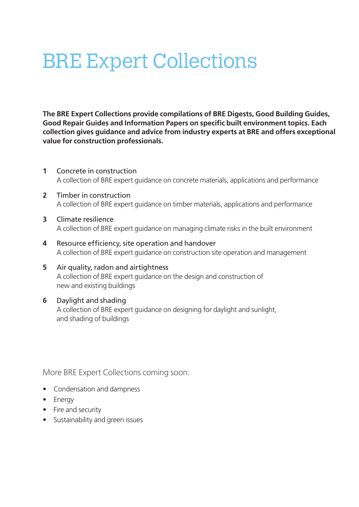# BRE Expert Collections

**The BRE Expert Collections provide compilations of BRE Digests, Good Building Guides, Good Repair Guides and Information Papers on specific built environment topics. Each collection gives guidance and advice from industry experts at BRE and offers exceptional value for construction professionals.**

- **1** Concrete in construction A collection of BRE expert guidance on concrete materials, applications and performance
- **2** Timber in construction A collection of BRE expert guidance on timber materials, applications and performance
- **3** Climate resilience A collection of BRE expert guidance on managing climate risks in the built environment
- **4** Resource efficiency, site operation and handover A collection of BRE expert guidance on construction site operation and management
- **5** Air quality, radon and airtightness A collection of BRE expert guidance on the design and construction of new and existing buildings

### **6** Daylight and shading

A collection of BRE expert guidance on designing for daylight and sunlight, and shading of buildings

More BRE Expert Collections coming soon:

- Condensation and dampness
- Energy
- Fire and security
- Sustainability and green issues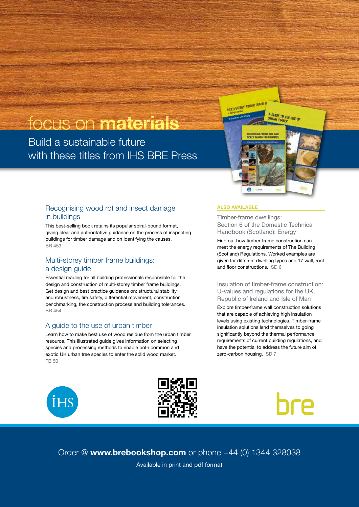# focus on materials

Build a sustainable future with these titles from IHS BRE Press

#### Recognising wood rot and insect damage in buildings

This best-selling book retains its popular spiral-bound format, giving clear and authoritative guidance on the process of inspecting buildings for timber damage and on identifying the causes. BR 453

#### Multi-storey timber frame buildings: a design guide

Essential reading for all building professionals responsible for the design and construction of multi-storey timber frame buildings. Get design and best practice guidance on: structural stability and robustness, fire safety, differential movement, construction benchmarking, the construction process and building tolerances. BR 454

#### A guide to the use of urban timber

**İHS** 

Learn how to make best use of wood residue from the urban timber resource. This illustrated guide gives information on selecting species and processing methods to enable both common and exotic UK urban tree species to enter the solid wood market. FB 50





Order @ www.brebookshop.com or phone +44 (0) 1344 328038 Available in print and pdf format

#### ALSO AVAILABLE

**MULTI-STOREY TIMBER ISLAND** 

Timber-frame dwellings: Section 6 of the Domestic Technical Handbook (Scotland): Energy

A<br>URBAN TIMBUDE LISE O

Find out how timber-frame construction can meet the energy requirements of The Building (Scotland) Regulations. Worked examples are given for different dwelling types and 17 wall, roof and floor constructions. SD 6

Insulation of timber-frame construction: U-values and regulations for the UK, Republic of Ireland and Isle of Man

Explore timber-frame wall construction solutions that are capable of achieving high insulation levels using existing technologies. Timber-frame insulation solutions lend themselves to going significantly beyond the thermal performance requirements of current building regulations, and have the potential to address the future aim of zero-carbon housing. SD 7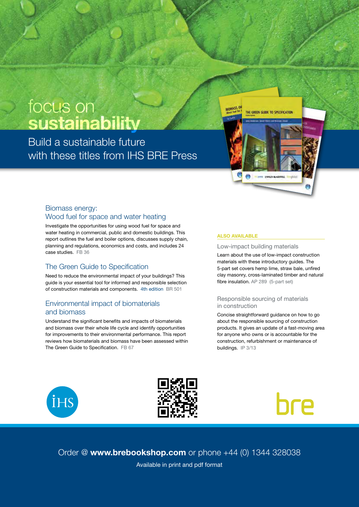# focus on sustainability

Build a sustainable future with these titles from **IHS BRE Press** 

#### Biomass energy: Wood fuel for space and water heating

Investigate the opportunities for using wood fuel for space and water heating in commercial, public and domestic buildings. This report outlines the fuel and boiler options, discusses supply chain, planning and regulations, economics and costs, and includes 24 case studies. FB 36

#### The Green Guide to Specification

Need to reduce the environmental impact of your buildings? This guide is your essential tool for informed and responsible selection of construction materials and components. 4th edition BR 501

#### Environmental impact of biomaterials and biomass

Understand the significant benefits and impacts of biomaterials and biomass over their whole life cycle and identify opportunities for improvements to their environmental performance. This report reviews how biomaterials and biomass have been assessed within The Green Guide to Specification. FB 67

#### ALSO AVAILABLE

#### Low-impact building materials

Learn about the use of low-impact construction materials with these introductory guides. The 5-part set covers hemp lime, straw bale, unfired clay masonry, cross-laminated timber and natural fibre insulation. AP 289 (5-part set)

THE GREEN GLIDE TO SPECIFICATION

#### Responsible sourcing of materials in construction

Concise straightforward guidance on how to go about the responsible sourcing of construction products. It gives an update of a fast-moving area for anyone who owns or is accountable for the construction, refurbishment or maintenance of buildings. IP 3/13







Order @ www.brebookshop.com or phone +44 (0) 1344 328038 Available in print and pdf format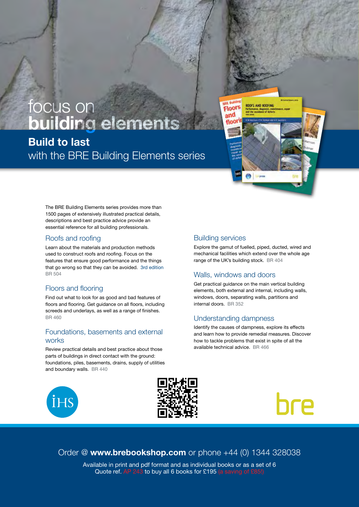# Build to last with the BRE Building Elements series focus on building elements

The BRE Building Elements series provides more than 1500 pages of extensively illustrated practical details, descriptions and best practice advice provide an essential reference for all building professionals.

#### Roofs and roofing

Learn about the materials and production methods used to construct roofs and roofing. Focus on the features that ensure good performance and the things that go wrong so that they can be avoided. 3rd edition BR 504

#### Floors and flooring

Find out what to look for as good and bad features of floors and flooring. Get guidance on all floors, including screeds and underlays, as well as a range of finishes. BR 460

#### Foundations, basements and external works

Review practical details and best practice about those parts of buildings in direct contact with the ground: foundations, piles, basements, drains, supply of utilities and boundary walls. BR 440

#### Building services

Explore the gamut of fuelled, piped, ducted, wired and mechanical facilities which extend over the whole age range of the UK's building stock. BR 404

**ROOFS AND ROOFING** 

Floors and

#### Walls, windows and doors

Get practical guidance on the main vertical building elements, both external and internal, including walls, windows, doors, separating walls, partitions and internal doors. BR 352

#### Understanding dampness

Identify the causes of dampness, explore its effects and learn how to provide remedial measures. Discover how to tackle problems that exist in spite of all the available technical advice. BR 466







Order @ www.brebookshop.com or phone +44 (0) 1344 328038

Available in print and pdf format and as individual books or as a set of 6 Quote ref. AP 243 to buy all 6 books for £195 (a saving of £85!)